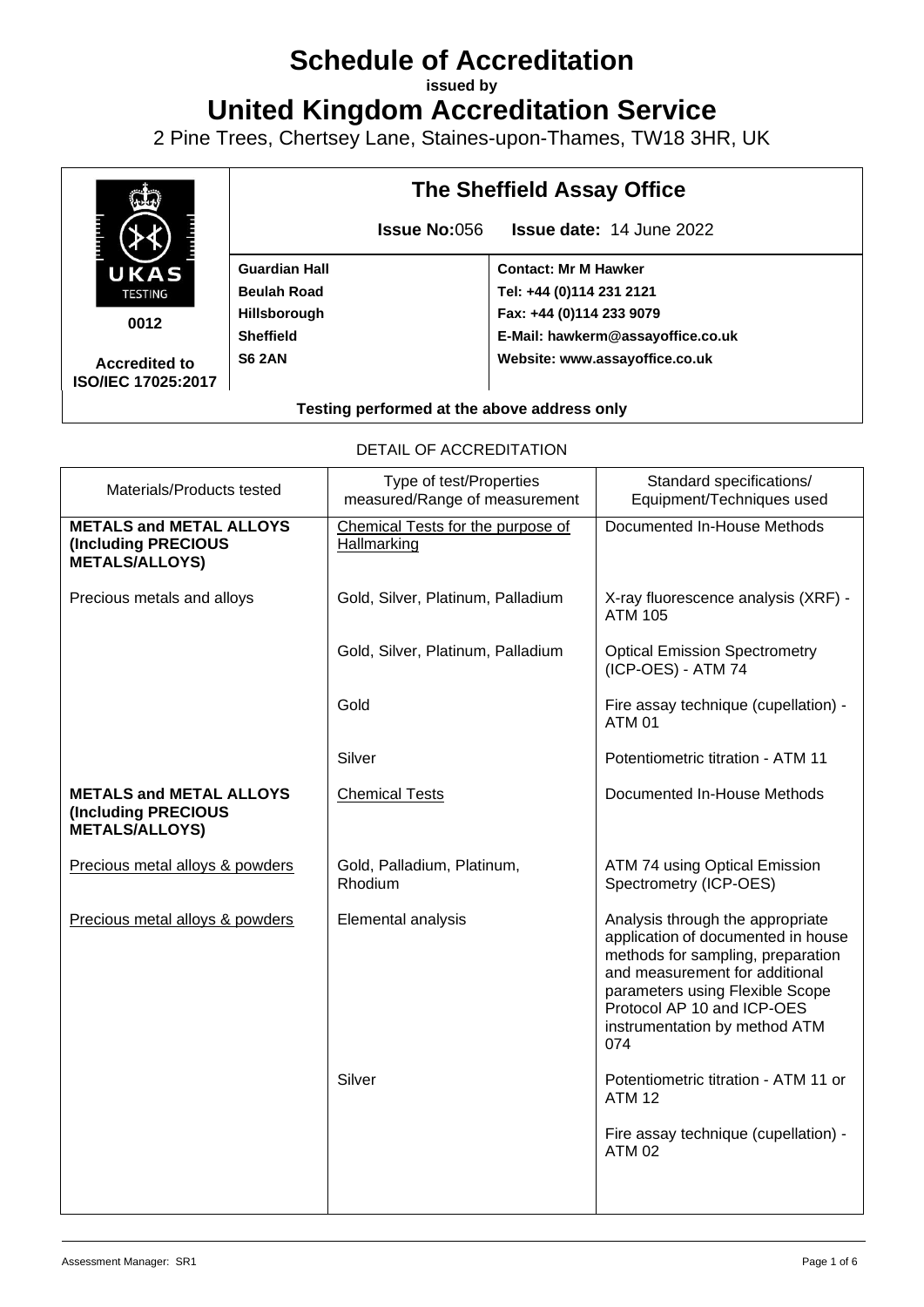# **Schedule of Accreditation**

**issued by**

**United Kingdom Accreditation Service**

2 Pine Trees, Chertsey Lane, Staines-upon-Thames, TW18 3HR, UK



**0012**

**Accredited to ISO/IEC 17025:2017** **Guardian Hall Beulah Road Hillsborough Sheffield S6 2AN**

## **The Sheffield Assay Office**

**Issue No:**056 **Issue date:** 14 June 2022

**Contact: Mr M Hawker Tel: +44 (0)114 231 2121 Fax: +44 (0)114 233 9079 E-Mail: hawkerm@assayoffice.co.uk Website: www.assayoffice.co.uk**

#### **Testing performed at the above address only**

DETAIL OF ACCREDITATION

| Materials/Products tested                                                      | Type of test/Properties<br>measured/Range of measurement | Standard specifications/<br>Equipment/Techniques used                                                                                                                                                                                                  |
|--------------------------------------------------------------------------------|----------------------------------------------------------|--------------------------------------------------------------------------------------------------------------------------------------------------------------------------------------------------------------------------------------------------------|
| <b>METALS and METAL ALLOYS</b><br>(Including PRECIOUS<br><b>METALS/ALLOYS)</b> | Chemical Tests for the purpose of<br>Hallmarking         | Documented In-House Methods                                                                                                                                                                                                                            |
| Precious metals and alloys                                                     | Gold, Silver, Platinum, Palladium                        | X-ray fluorescence analysis (XRF) -<br><b>ATM 105</b>                                                                                                                                                                                                  |
|                                                                                | Gold, Silver, Platinum, Palladium                        | <b>Optical Emission Spectrometry</b><br>(ICP-OES) - ATM 74                                                                                                                                                                                             |
|                                                                                | Gold                                                     | Fire assay technique (cupellation) -<br><b>ATM 01</b>                                                                                                                                                                                                  |
|                                                                                | Silver                                                   | Potentiometric titration - ATM 11                                                                                                                                                                                                                      |
| <b>METALS and METAL ALLOYS</b><br>(Including PRECIOUS<br><b>METALS/ALLOYS)</b> | <b>Chemical Tests</b>                                    | Documented In-House Methods                                                                                                                                                                                                                            |
| Precious metal alloys & powders                                                | Gold, Palladium, Platinum,<br>Rhodium                    | ATM 74 using Optical Emission<br>Spectrometry (ICP-OES)                                                                                                                                                                                                |
| Precious metal alloys & powders                                                | Elemental analysis                                       | Analysis through the appropriate<br>application of documented in house<br>methods for sampling, preparation<br>and measurement for additional<br>parameters using Flexible Scope<br>Protocol AP 10 and ICP-OES<br>instrumentation by method ATM<br>074 |
|                                                                                | Silver                                                   | Potentiometric titration - ATM 11 or<br><b>ATM 12</b>                                                                                                                                                                                                  |
|                                                                                |                                                          | Fire assay technique (cupellation) -<br><b>ATM 02</b>                                                                                                                                                                                                  |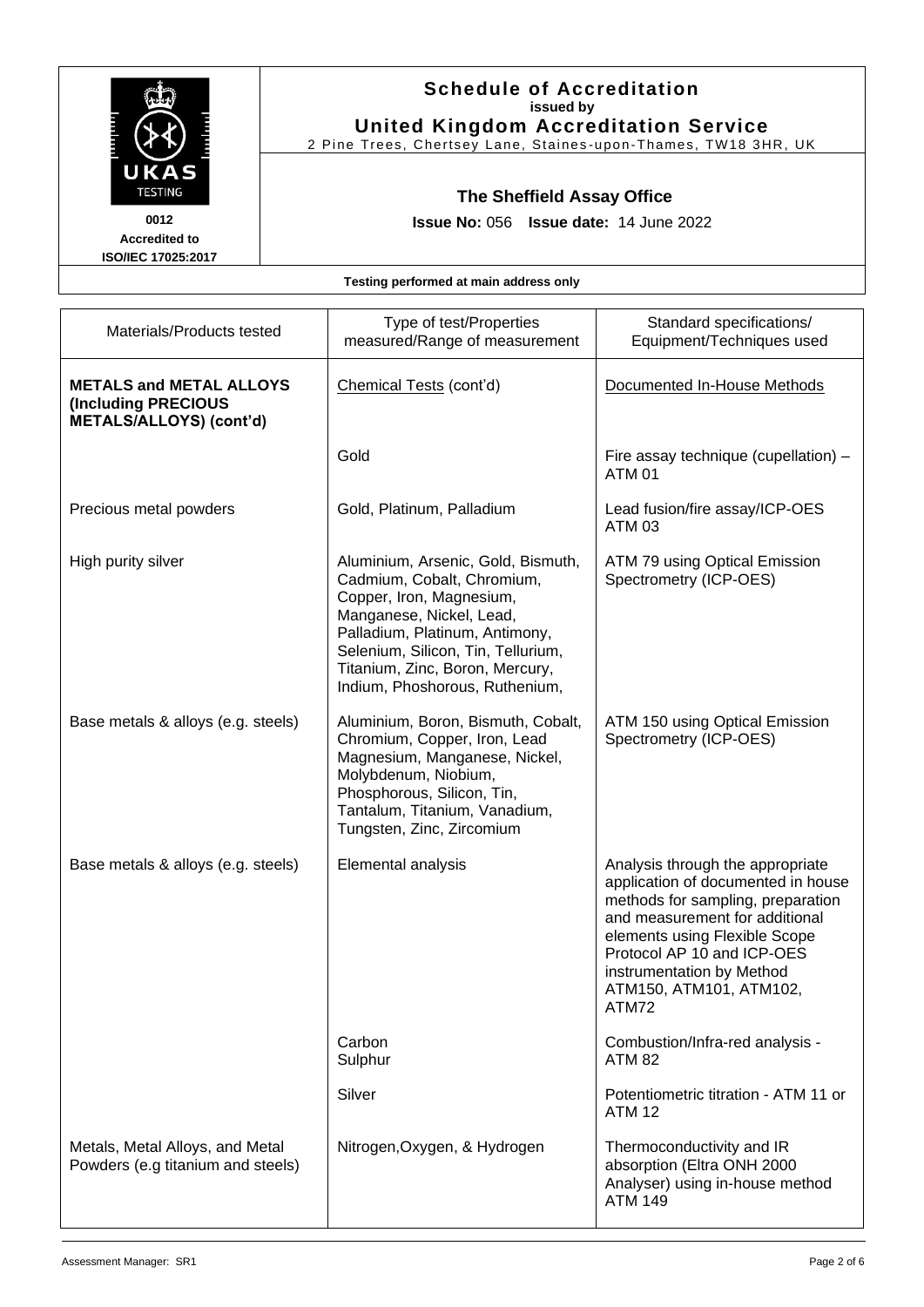| <b>TESTING</b><br>0012<br><b>Accredited to</b><br>ISO/IEC 17025:2017 |                                                                                                | <b>Schedule of Accreditation</b><br>issued by<br><b>United Kingdom Accreditation Service</b><br>2 Pine Trees, Chertsey Lane, Staines-upon-Thames, TW18 3HR, UK                                                                                                        |                                                          |
|----------------------------------------------------------------------|------------------------------------------------------------------------------------------------|-----------------------------------------------------------------------------------------------------------------------------------------------------------------------------------------------------------------------------------------------------------------------|----------------------------------------------------------|
|                                                                      |                                                                                                | The Sheffield Assay Office<br>Issue No: 056 Issue date: 14 June 2022                                                                                                                                                                                                  |                                                          |
|                                                                      |                                                                                                | Testing performed at main address only                                                                                                                                                                                                                                |                                                          |
|                                                                      | Materials/Products tested                                                                      | Type of test/Properties<br>measured/Range of measurement                                                                                                                                                                                                              | Standard specifications/<br>Equipment/Techniques used    |
|                                                                      | <b>METALS and METAL ALLOYS</b><br><b>(Including PRECIOUS</b><br><b>METALS/ALLOYS) (cont'd)</b> | Chemical Tests (cont'd)                                                                                                                                                                                                                                               | Documented In-House Methods                              |
|                                                                      |                                                                                                | Gold                                                                                                                                                                                                                                                                  | Fire assay technique (cupellation) -<br><b>ATM 01</b>    |
|                                                                      | Precious metal powders                                                                         | Gold, Platinum, Palladium                                                                                                                                                                                                                                             | Lead fusion/fire assay/ICP-OES<br><b>ATM 03</b>          |
|                                                                      | High purity silver                                                                             | Aluminium, Arsenic, Gold, Bismuth,<br>Cadmium, Cobalt, Chromium,<br>Copper, Iron, Magnesium,<br>Manganese, Nickel, Lead,<br>Palladium, Platinum, Antimony,<br>Selenium, Silicon, Tin, Tellurium,<br>Titanium, Zinc, Boron, Mercury,<br>Indium, Phoshorous, Ruthenium, | ATM 79 using Optical Emission<br>Spectrometry (ICP-OES)  |
|                                                                      | Base metals & alloys (e.g. steels)                                                             | Aluminium, Boron, Bismuth, Cobalt,<br>Chromium, Copper, Iron, Lead<br>Magnesium, Manganese, Nickel,<br>Molybdenum, Niobium,<br>Phosphorous, Silicon, Tin,<br>Tantalum, Titanium, Vanadium,<br>Tungsten, Zinc, Zircomium                                               | ATM 150 using Optical Emission<br>Spectrometry (ICP-OES) |
|                                                                      | Base metals & alloys (e.g. steels)                                                             | Elemental analysis                                                                                                                                                                                                                                                    | Analysis through the appropriate                         |

Carbon Sulphur

opriate application of documented in house methods for sampling, preparation and measurement for additional elements using Flexible Scope Protocol AP 10 and ICP-OES instrumentation by Method ATM150, ATM101, ATM102, ATM72 Combustion/Infra-red analysis - ATM 82

Silver Potentiometric titration - ATM 11 or ATM 12

Nitrogen, Oxygen, & Hydrogen | Thermoconductivity and IR absorption (Eltra ONH 2000 Analyser) using in-house method ATM 149

Metals, Metal Alloys, and Metal Powders (e.g titanium and steels)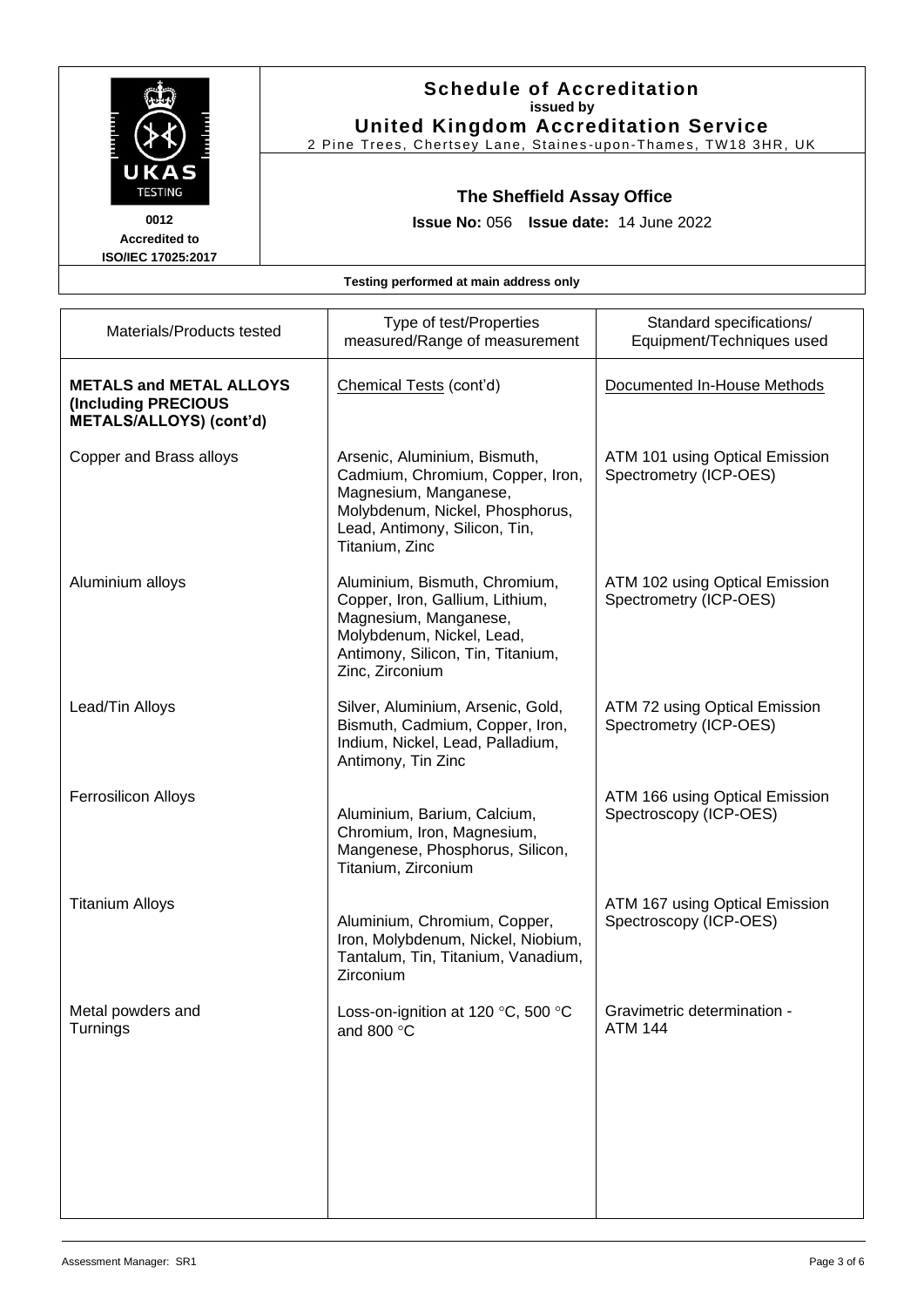|                                                                                         |                                                                      | <b>Schedule of Accreditation</b><br>issued by<br><b>United Kingdom Accreditation Service</b><br>2 Pine Trees, Chertsey Lane, Staines-upon-Thames, TW18 3HR, UK                  |                                                          |  |
|-----------------------------------------------------------------------------------------|----------------------------------------------------------------------|---------------------------------------------------------------------------------------------------------------------------------------------------------------------------------|----------------------------------------------------------|--|
| UKAS<br><b>TESTING</b><br>0012<br><b>Accredited to</b><br>ISO/IEC 17025:2017            | The Sheffield Assay Office<br>Issue No: 056 Issue date: 14 June 2022 |                                                                                                                                                                                 |                                                          |  |
|                                                                                         |                                                                      | Testing performed at main address only                                                                                                                                          |                                                          |  |
| Materials/Products tested                                                               |                                                                      | Type of test/Properties<br>measured/Range of measurement                                                                                                                        | Standard specifications/<br>Equipment/Techniques used    |  |
| <b>METALS and METAL ALLOYS</b><br>(Including PRECIOUS<br><b>METALS/ALLOYS) (cont'd)</b> |                                                                      | Chemical Tests (cont'd)                                                                                                                                                         | Documented In-House Methods                              |  |
| Copper and Brass alloys                                                                 |                                                                      | Arsenic, Aluminium, Bismuth,<br>Cadmium, Chromium, Copper, Iron,<br>Magnesium, Manganese,<br>Molybdenum, Nickel, Phosphorus,<br>Lead, Antimony, Silicon, Tin,<br>Titanium, Zinc | ATM 101 using Optical Emission<br>Spectrometry (ICP-OES) |  |
| Aluminium alloys                                                                        |                                                                      | Aluminium, Bismuth, Chromium,<br>Copper, Iron, Gallium, Lithium,<br>Magnesium, Manganese,<br>Molybdenum, Nickel, Lead,<br>Antimony, Silicon, Tin, Titanium,<br>Zinc, Zirconium  | ATM 102 using Optical Emission<br>Spectrometry (ICP-OES) |  |
| Lead/Tin Alloys                                                                         |                                                                      | Silver, Aluminium, Arsenic, Gold,<br>Bismuth, Cadmium, Copper, Iron,<br>Indium, Nickel, Lead, Palladium,<br>Antimony, Tin Zinc                                                  | ATM 72 using Optical Emission<br>Spectrometry (ICP-OES)  |  |
| <b>Ferrosilicon Alloys</b>                                                              |                                                                      | Aluminium, Barium, Calcium,<br>Chromium, Iron, Magnesium,<br>Mangenese, Phosphorus, Silicon,<br>Titanium, Zirconium                                                             | ATM 166 using Optical Emission<br>Spectroscopy (ICP-OES) |  |
| <b>Titanium Alloys</b>                                                                  |                                                                      | Aluminium, Chromium, Copper,<br>Iron, Molybdenum, Nickel, Niobium,<br>Tantalum, Tin, Titanium, Vanadium,<br>Zirconium                                                           | ATM 167 using Optical Emission<br>Spectroscopy (ICP-OES) |  |
| Metal powders and<br>Turnings                                                           |                                                                      | Loss-on-ignition at 120 $\degree$ C, 500 $\degree$ C<br>and 800 °C                                                                                                              | Gravimetric determination -<br><b>ATM 144</b>            |  |
|                                                                                         |                                                                      |                                                                                                                                                                                 |                                                          |  |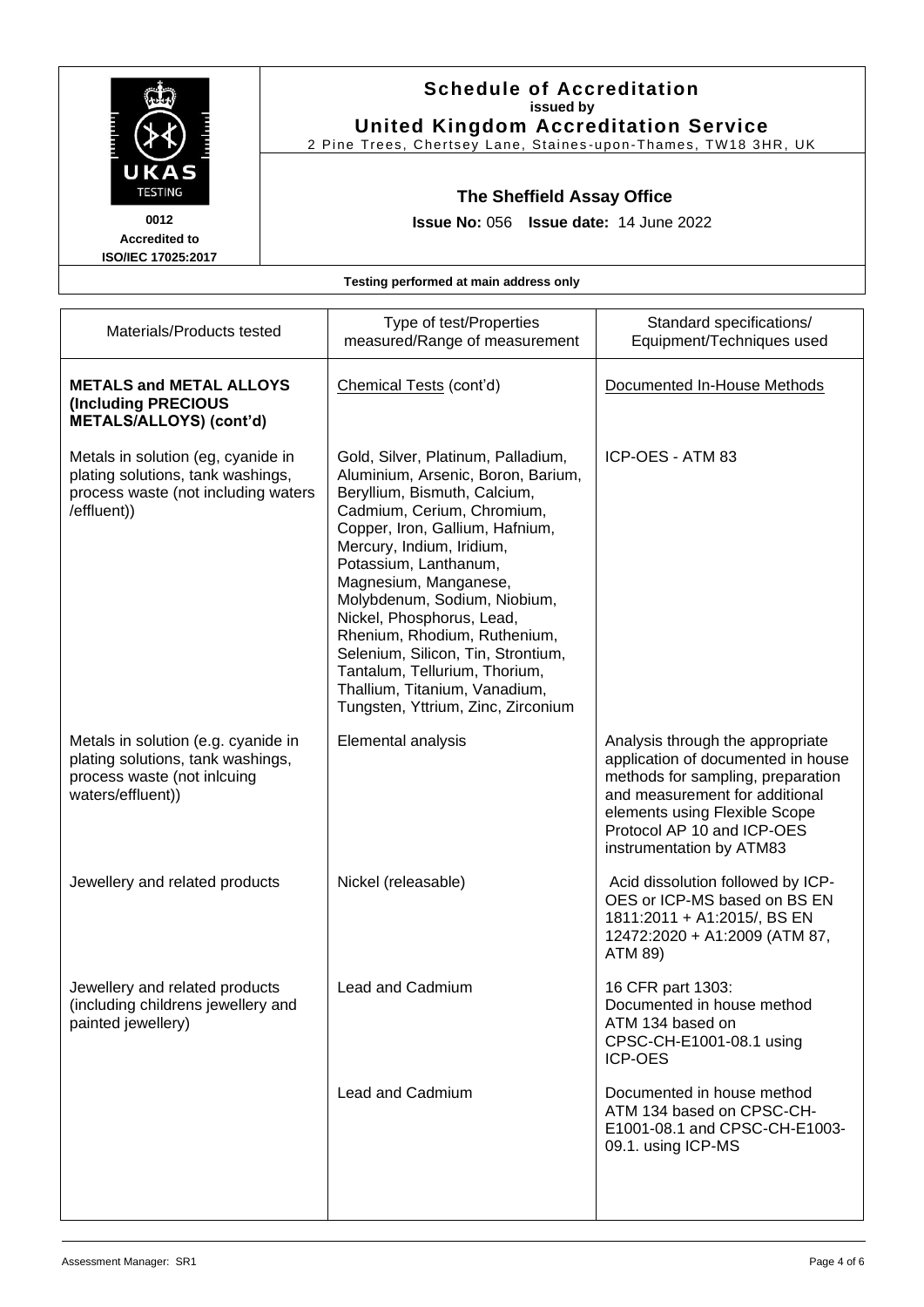|                                                                                                                               | <b>Schedule of Accreditation</b><br>issued by<br><b>United Kingdom Accreditation Service</b><br>2 Pine Trees, Chertsey Lane, Staines-upon-Thames, TW18 3HR, UK |                                                                                                                                                                                                                                                                                                                                                                                                                                                                                                     |                                                                                                                                                                                                                                          |  |
|-------------------------------------------------------------------------------------------------------------------------------|----------------------------------------------------------------------------------------------------------------------------------------------------------------|-----------------------------------------------------------------------------------------------------------------------------------------------------------------------------------------------------------------------------------------------------------------------------------------------------------------------------------------------------------------------------------------------------------------------------------------------------------------------------------------------------|------------------------------------------------------------------------------------------------------------------------------------------------------------------------------------------------------------------------------------------|--|
| UKAS<br><b>TESTING</b><br>0012<br><b>Accredited to</b><br>ISO/IEC 17025:2017                                                  |                                                                                                                                                                | The Sheffield Assay Office<br>Issue No: 056 Issue date: 14 June 2022                                                                                                                                                                                                                                                                                                                                                                                                                                |                                                                                                                                                                                                                                          |  |
|                                                                                                                               |                                                                                                                                                                | Testing performed at main address only                                                                                                                                                                                                                                                                                                                                                                                                                                                              |                                                                                                                                                                                                                                          |  |
| Materials/Products tested                                                                                                     |                                                                                                                                                                | Type of test/Properties<br>measured/Range of measurement                                                                                                                                                                                                                                                                                                                                                                                                                                            | Standard specifications/<br>Equipment/Techniques used                                                                                                                                                                                    |  |
| <b>METALS and METAL ALLOYS</b><br><b>(Including PRECIOUS</b><br><b>METALS/ALLOYS) (cont'd)</b>                                |                                                                                                                                                                | Chemical Tests (cont'd)                                                                                                                                                                                                                                                                                                                                                                                                                                                                             | Documented In-House Methods                                                                                                                                                                                                              |  |
| Metals in solution (eg, cyanide in<br>plating solutions, tank washings,<br>process waste (not including waters<br>/effluent)) |                                                                                                                                                                | Gold, Silver, Platinum, Palladium,<br>Aluminium, Arsenic, Boron, Barium,<br>Beryllium, Bismuth, Calcium,<br>Cadmium, Cerium, Chromium,<br>Copper, Iron, Gallium, Hafnium,<br>Mercury, Indium, Iridium,<br>Potassium, Lanthanum,<br>Magnesium, Manganese,<br>Molybdenum, Sodium, Niobium,<br>Nickel, Phosphorus, Lead,<br>Rhenium, Rhodium, Ruthenium,<br>Selenium, Silicon, Tin, Strontium,<br>Tantalum, Tellurium, Thorium,<br>Thallium, Titanium, Vanadium,<br>Tungsten, Yttrium, Zinc, Zirconium | ICP-OES - ATM 83                                                                                                                                                                                                                         |  |
| Metals in solution (e.g. cyanide in<br>plating solutions, tank washings,<br>process waste (not inlcuing<br>waters/effluent))  |                                                                                                                                                                | Elemental analysis                                                                                                                                                                                                                                                                                                                                                                                                                                                                                  | Analysis through the appropriate<br>application of documented in house<br>methods for sampling, preparation<br>and measurement for additional<br>elements using Flexible Scope<br>Protocol AP 10 and ICP-OES<br>instrumentation by ATM83 |  |
| Jewellery and related products                                                                                                |                                                                                                                                                                | Nickel (releasable)                                                                                                                                                                                                                                                                                                                                                                                                                                                                                 | Acid dissolution followed by ICP-<br>OES or ICP-MS based on BS EN<br>1811:2011 + A1:2015/, BS EN<br>12472:2020 + A1:2009 (ATM 87,<br>ATM 89)                                                                                             |  |
| Jewellery and related products<br>(including childrens jewellery and<br>painted jewellery)                                    |                                                                                                                                                                | <b>Lead and Cadmium</b>                                                                                                                                                                                                                                                                                                                                                                                                                                                                             | 16 CFR part 1303:<br>Documented in house method<br>ATM 134 based on<br>CPSC-CH-E1001-08.1 using<br><b>ICP-OES</b>                                                                                                                        |  |
|                                                                                                                               |                                                                                                                                                                | Lead and Cadmium                                                                                                                                                                                                                                                                                                                                                                                                                                                                                    | Documented in house method<br>ATM 134 based on CPSC-CH-<br>E1001-08.1 and CPSC-CH-E1003-<br>09.1. using ICP-MS                                                                                                                           |  |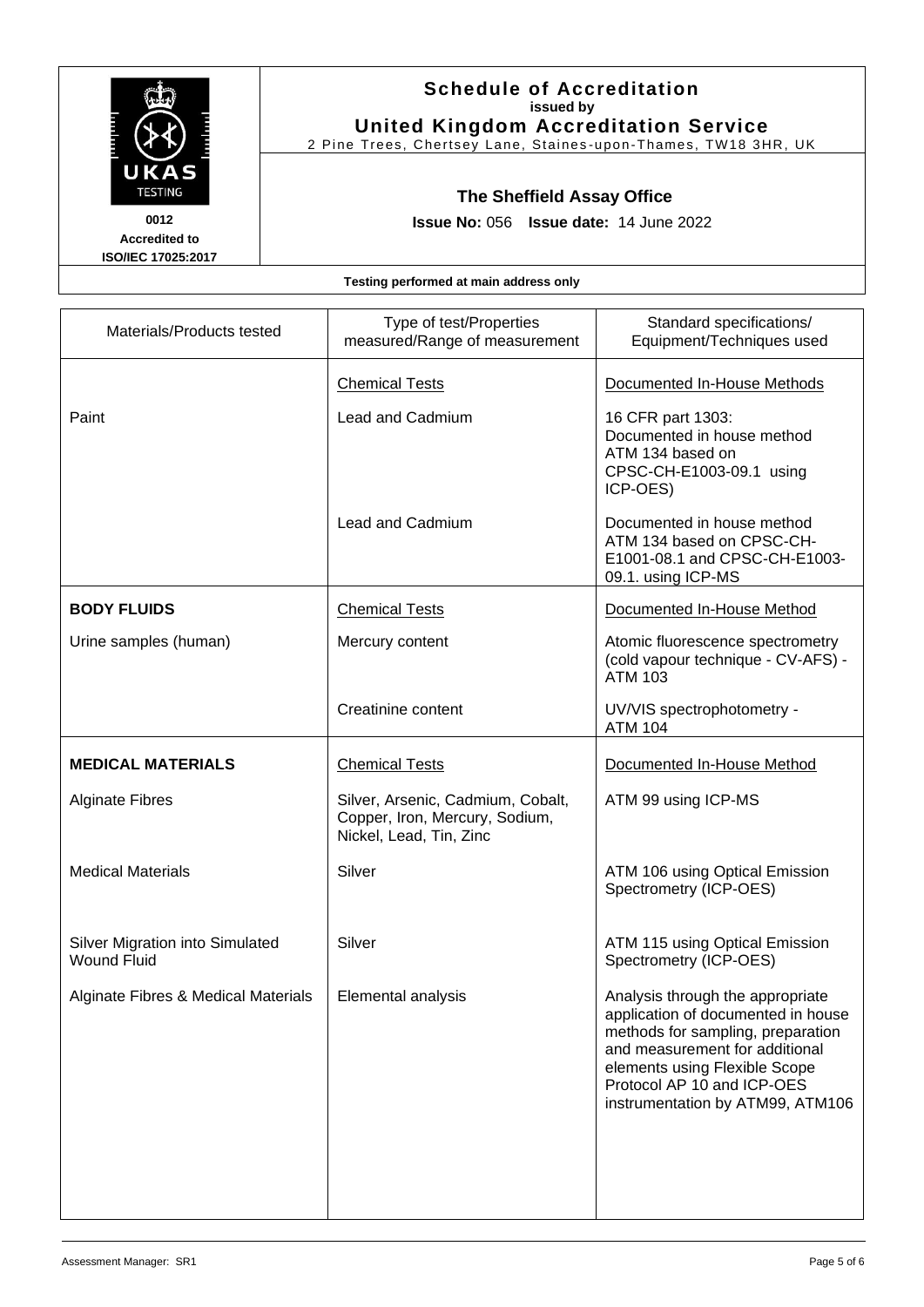| <b>The Second Second</b><br>K<br><b>TESTING</b> | FEE E |  |
|-------------------------------------------------|-------|--|
| 0012                                            |       |  |

### **Schedule of Accreditation issued by United Kingdom Accreditation Service**

2 Pine Trees, Chertsey Lane, Staines -upon -Thames, TW18 3HR, UK

### **The Sheffield Assay Office**

**Issue No:** 056 **Issue date:** 14 June 2022

**Accredited to ISO/IEC 17025:2017**

#### **Testing performed at main address only**

| Type of test/Properties<br>measured/Range of measurement                                       | Standard specifications/<br>Equipment/Techniques used                                                                                                                                                                                            |
|------------------------------------------------------------------------------------------------|--------------------------------------------------------------------------------------------------------------------------------------------------------------------------------------------------------------------------------------------------|
| <b>Chemical Tests</b>                                                                          | Documented In-House Methods                                                                                                                                                                                                                      |
| Lead and Cadmium                                                                               | 16 CFR part 1303:<br>Documented in house method<br>ATM 134 based on<br>CPSC-CH-E1003-09.1 using<br>ICP-OES)                                                                                                                                      |
| Lead and Cadmium                                                                               | Documented in house method<br>ATM 134 based on CPSC-CH-<br>E1001-08.1 and CPSC-CH-E1003-<br>09.1. using ICP-MS                                                                                                                                   |
| <b>Chemical Tests</b>                                                                          | Documented In-House Method                                                                                                                                                                                                                       |
| Mercury content                                                                                | Atomic fluorescence spectrometry<br>(cold vapour technique - CV-AFS) -<br><b>ATM 103</b>                                                                                                                                                         |
| Creatinine content                                                                             | UV/VIS spectrophotometry -<br><b>ATM 104</b>                                                                                                                                                                                                     |
| <b>Chemical Tests</b>                                                                          | Documented In-House Method                                                                                                                                                                                                                       |
| Silver, Arsenic, Cadmium, Cobalt,<br>Copper, Iron, Mercury, Sodium,<br>Nickel, Lead, Tin, Zinc | ATM 99 using ICP-MS                                                                                                                                                                                                                              |
| Silver                                                                                         | ATM 106 using Optical Emission<br>Spectrometry (ICP-OES)                                                                                                                                                                                         |
| Silver                                                                                         | ATM 115 using Optical Emission<br>Spectrometry (ICP-OES)                                                                                                                                                                                         |
| Elemental analysis                                                                             | Analysis through the appropriate<br>application of documented in house<br>methods for sampling, preparation<br>and measurement for additional<br>elements using Flexible Scope<br>Protocol AP 10 and ICP-OES<br>instrumentation by ATM99, ATM106 |
|                                                                                                |                                                                                                                                                                                                                                                  |